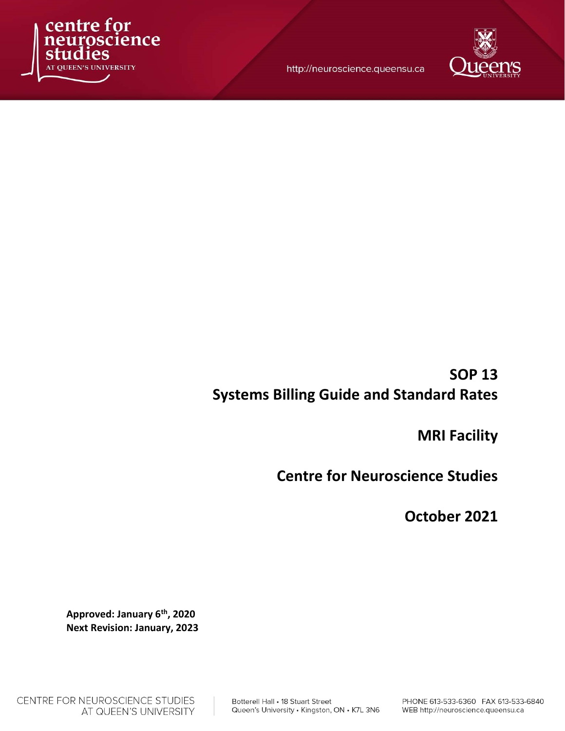

http://neuroscience.queensu.ca



# SOP 13 Systems Billing Guide and Standard Rates

MRI Facility

Centre for Neuroscience Studies

October 2021

Approved: January 6th, 2020 Next Revision: January, 2023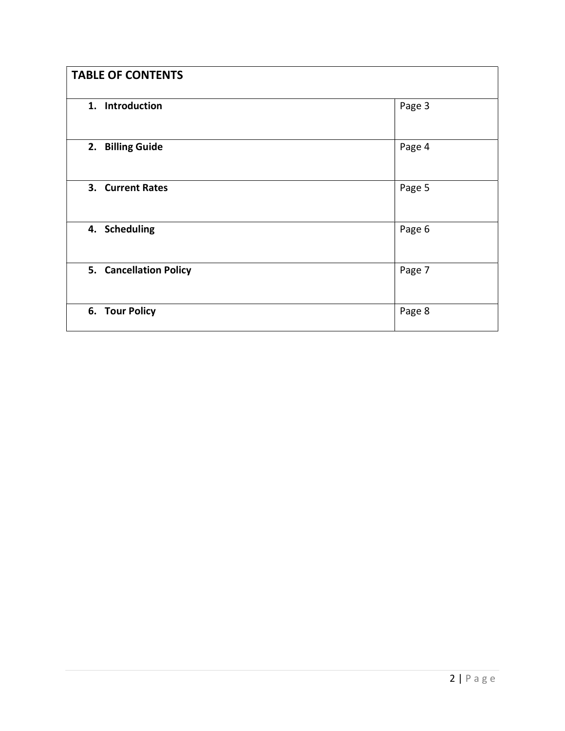| <b>TABLE OF CONTENTS</b> |        |
|--------------------------|--------|
| 1. Introduction          | Page 3 |
| 2. Billing Guide         | Page 4 |
| 3. Current Rates         | Page 5 |
| 4. Scheduling            | Page 6 |
| 5. Cancellation Policy   | Page 7 |
| 6. Tour Policy           | Page 8 |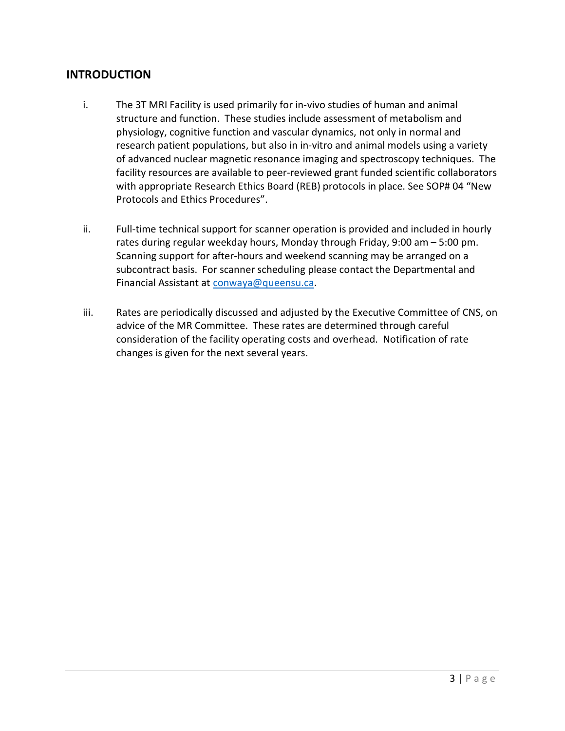## INTRODUCTION

- i. The 3T MRI Facility is used primarily for in-vivo studies of human and animal structure and function. These studies include assessment of metabolism and physiology, cognitive function and vascular dynamics, not only in normal and research patient populations, but also in in-vitro and animal models using a variety of advanced nuclear magnetic resonance imaging and spectroscopy techniques. The facility resources are available to peer-reviewed grant funded scientific collaborators with appropriate Research Ethics Board (REB) protocols in place. See SOP# 04 "New Protocols and Ethics Procedures".
- ii. Full-time technical support for scanner operation is provided and included in hourly rates during regular weekday hours, Monday through Friday, 9:00 am – 5:00 pm. Scanning support for after-hours and weekend scanning may be arranged on a subcontract basis. For scanner scheduling please contact the Departmental and Financial Assistant at conwaya@queensu.ca.
- iii. Rates are periodically discussed and adjusted by the Executive Committee of CNS, on advice of the MR Committee. These rates are determined through careful consideration of the facility operating costs and overhead. Notification of rate changes is given for the next several years.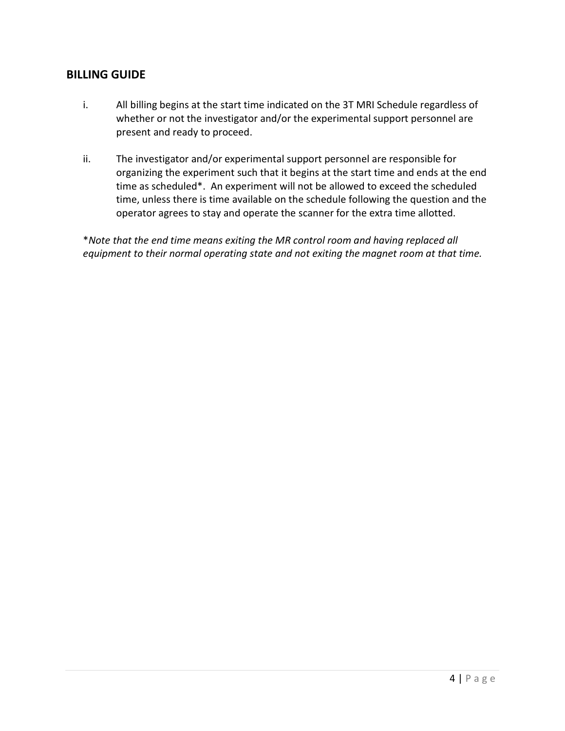## BILLING GUIDE

- i. All billing begins at the start time indicated on the 3T MRI Schedule regardless of whether or not the investigator and/or the experimental support personnel are present and ready to proceed.
- ii. The investigator and/or experimental support personnel are responsible for organizing the experiment such that it begins at the start time and ends at the end time as scheduled\*. An experiment will not be allowed to exceed the scheduled time, unless there is time available on the schedule following the question and the operator agrees to stay and operate the scanner for the extra time allotted.

\*Note that the end time means exiting the MR control room and having replaced all equipment to their normal operating state and not exiting the magnet room at that time.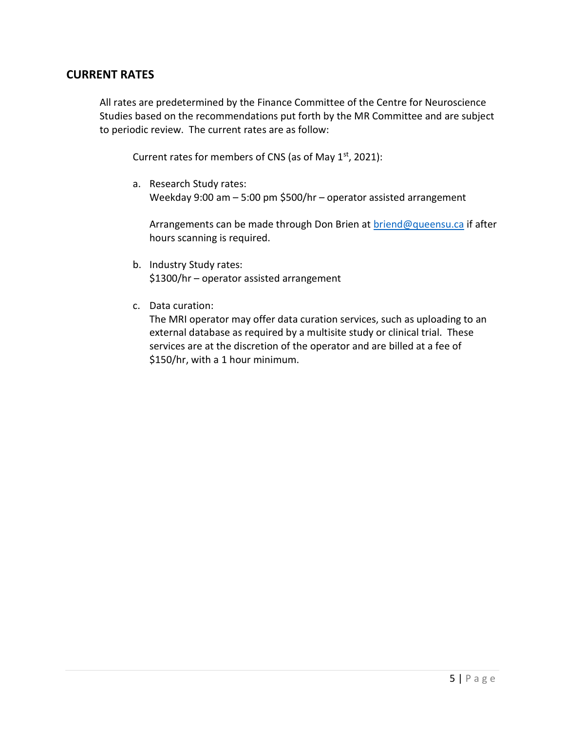#### CURRENT RATES

All rates are predetermined by the Finance Committee of the Centre for Neuroscience Studies based on the recommendations put forth by the MR Committee and are subject to periodic review. The current rates are as follow:

Current rates for members of CNS (as of May  $1<sup>st</sup>$ , 2021):

a. Research Study rates: Weekday 9:00 am – 5:00 pm \$500/hr – operator assisted arrangement

Arrangements can be made through Don Brien at briend@queensu.ca if after hours scanning is required.

- b. Industry Study rates: \$1300/hr – operator assisted arrangement
- c. Data curation:

The MRI operator may offer data curation services, such as uploading to an external database as required by a multisite study or clinical trial. These services are at the discretion of the operator and are billed at a fee of \$150/hr, with a 1 hour minimum.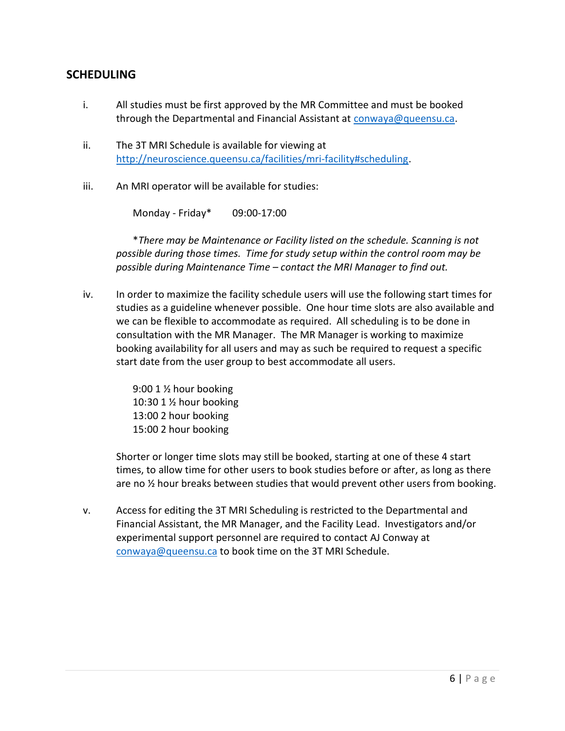## **SCHEDULING**

- i. All studies must be first approved by the MR Committee and must be booked through the Departmental and Financial Assistant at conwaya@queensu.ca.
- ii. The 3T MRI Schedule is available for viewing at http://neuroscience.queensu.ca/facilities/mri-facility#scheduling.
- iii. An MRI operator will be available for studies:

Monday - Friday\* 09:00-17:00

\*There may be Maintenance or Facility listed on the schedule. Scanning is not possible during those times. Time for study setup within the control room may be possible during Maintenance Time – contact the MRI Manager to find out.

iv. In order to maximize the facility schedule users will use the following start times for studies as a guideline whenever possible. One hour time slots are also available and we can be flexible to accommodate as required. All scheduling is to be done in consultation with the MR Manager. The MR Manager is working to maximize booking availability for all users and may as such be required to request a specific start date from the user group to best accommodate all users.

> 9:00 1 ½ hour booking 10:30 1 ½ hour booking 13:00 2 hour booking 15:00 2 hour booking

Shorter or longer time slots may still be booked, starting at one of these 4 start times, to allow time for other users to book studies before or after, as long as there are no  $\frac{1}{2}$  hour breaks between studies that would prevent other users from booking.

v. Access for editing the 3T MRI Scheduling is restricted to the Departmental and Financial Assistant, the MR Manager, and the Facility Lead. Investigators and/or experimental support personnel are required to contact AJ Conway at conwaya@queensu.ca to book time on the 3T MRI Schedule.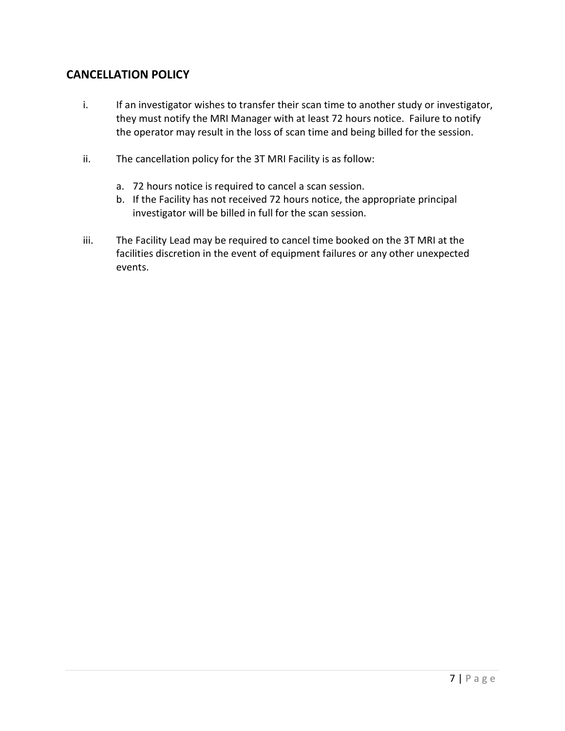# CANCELLATION POLICY

- i. If an investigator wishes to transfer their scan time to another study or investigator, they must notify the MRI Manager with at least 72 hours notice. Failure to notify the operator may result in the loss of scan time and being billed for the session.
- ii. The cancellation policy for the 3T MRI Facility is as follow:
	- a. 72 hours notice is required to cancel a scan session.
	- b. If the Facility has not received 72 hours notice, the appropriate principal investigator will be billed in full for the scan session.
- iii. The Facility Lead may be required to cancel time booked on the 3T MRI at the facilities discretion in the event of equipment failures or any other unexpected events.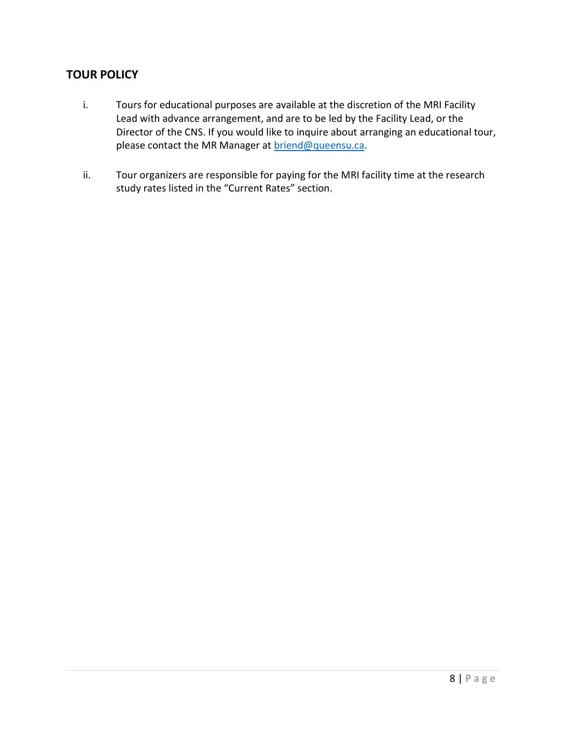# TOUR POLICY

- i. Tours for educational purposes are available at the discretion of the MRI Facility Lead with advance arrangement, and are to be led by the Facility Lead, or the Director of the CNS. If you would like to inquire about arranging an educational tour, please contact the MR Manager at briend@queensu.ca.
- ii. Tour organizers are responsible for paying for the MRI facility time at the research study rates listed in the "Current Rates" section.